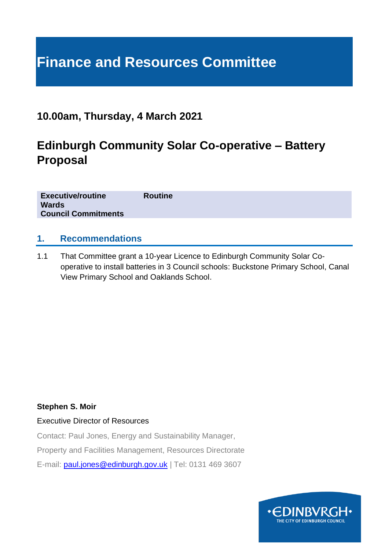# **Finance and Resources Committee**

### **10.00am, Thursday, 4 March 2021**

### **Edinburgh Community Solar Co-operative – Battery Proposal**

| <b>Executive/routine</b>   | <b>Routine</b> |
|----------------------------|----------------|
| <b>Wards</b>               |                |
| <b>Council Commitments</b> |                |

#### **1. Recommendations**

1.1 That Committee grant a 10-year Licence to Edinburgh Community Solar Cooperative to install batteries in 3 Council schools: Buckstone Primary School, Canal View Primary School and Oaklands School.

#### **Stephen S. Moir**

#### Executive Director of Resources

Contact: Paul Jones, Energy and Sustainability Manager,

Property and Facilities Management, Resources Directorate

E-mail: [paul.jones@edinburgh.gov.uk](mailto:paul.jones@edinburgh.gov.uk) | Tel: 0131 469 3607

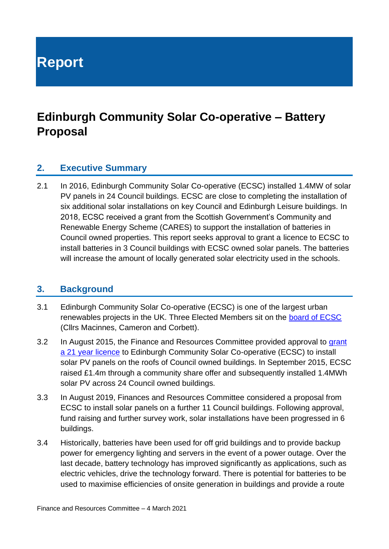**Report**

## **Edinburgh Community Solar Co-operative – Battery Proposal**

#### **2. Executive Summary**

2.1 In 2016, Edinburgh Community Solar Co-operative (ECSC) installed 1.4MW of solar PV panels in 24 Council buildings. ECSC are close to completing the installation of six additional solar installations on key Council and Edinburgh Leisure buildings. In 2018, ECSC received a grant from the Scottish Government's Community and Renewable Energy Scheme (CARES) to support the installation of batteries in Council owned properties. This report seeks approval to grant a licence to ECSC to install batteries in 3 Council buildings with ECSC owned solar panels. The batteries will increase the amount of locally generated solar electricity used in the schools.

#### **3. Background**

- 3.1 Edinburgh Community Solar Co-operative (ECSC) is one of the largest urban renewables projects in the UK. Three Elected Members sit on the [board of ECSC](https://www.edinburghsolar.coop/about-us/board-of-directors/) (Cllrs Macinnes, Cameron and Corbett).
- 3.2 In August 2015, the Finance and Resources Committee provided approval to grant [a 21 year licence](http://www.edinburgh.gov.uk/download/meetings/id/48013/item_727_-_approval_to_grant_a_licence_to_edinburgh_community_solar_co-operative_to_install_solar_pv_panels_on_council_owned_buildings) to Edinburgh Community Solar Co-operative (ECSC) to install solar PV panels on the roofs of Council owned buildings. In September 2015, ECSC raised £1.4m through a community share offer and subsequently installed 1.4MWh solar PV across 24 Council owned buildings.
- 3.3 In August 2019, Finances and Resources Committee considered a proposal from ECSC to install solar panels on a further 11 Council buildings. Following approval, fund raising and further survey work, solar installations have been progressed in 6 buildings.
- 3.4 Historically, batteries have been used for off grid buildings and to provide backup power for emergency lighting and servers in the event of a power outage. Over the last decade, battery technology has improved significantly as applications, such as electric vehicles, drive the technology forward. There is potential for batteries to be used to maximise efficiencies of onsite generation in buildings and provide a route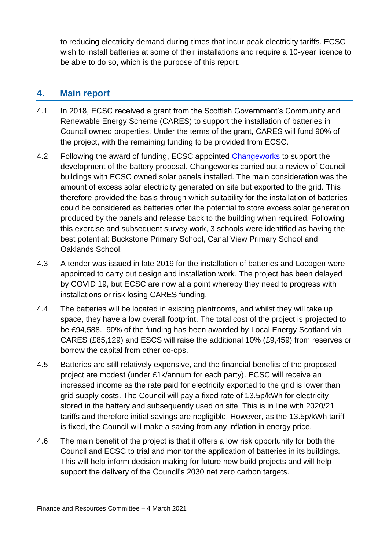to reducing electricity demand during times that incur peak electricity tariffs. ECSC wish to install batteries at some of their installations and require a 10-year licence to be able to do so, which is the purpose of this report.

#### **4. Main report**

- 4.1 In 2018, ECSC received a grant from the Scottish Government's Community and Renewable Energy Scheme (CARES) to support the installation of batteries in Council owned properties. Under the terms of the grant, CARES will fund 90% of the project, with the remaining funding to be provided from ECSC.
- 4.2 Following the award of funding, ECSC appointed [Changeworks](https://www.changeworks.org.uk/) to support the development of the battery proposal. Changeworks carried out a review of Council buildings with ECSC owned solar panels installed. The main consideration was the amount of excess solar electricity generated on site but exported to the grid. This therefore provided the basis through which suitability for the installation of batteries could be considered as batteries offer the potential to store excess solar generation produced by the panels and release back to the building when required. Following this exercise and subsequent survey work, 3 schools were identified as having the best potential: Buckstone Primary School, Canal View Primary School and Oaklands School.
- 4.3 A tender was issued in late 2019 for the installation of batteries and Locogen were appointed to carry out design and installation work. The project has been delayed by COVID 19, but ECSC are now at a point whereby they need to progress with installations or risk losing CARES funding.
- 4.4 The batteries will be located in existing plantrooms, and whilst they will take up space, they have a low overall footprint. The total cost of the project is projected to be £94,588. 90% of the funding has been awarded by Local Energy Scotland via CARES (£85,129) and ESCS will raise the additional 10% (£9,459) from reserves or borrow the capital from other co-ops.
- 4.5 Batteries are still relatively expensive, and the financial benefits of the proposed project are modest (under £1k/annum for each party). ECSC will receive an increased income as the rate paid for electricity exported to the grid is lower than grid supply costs. The Council will pay a fixed rate of 13.5p/kWh for electricity stored in the battery and subsequently used on site. This is in line with 2020/21 tariffs and therefore initial savings are negligible. However, as the 13.5p/kWh tariff is fixed, the Council will make a saving from any inflation in energy price.
- 4.6 The main benefit of the project is that it offers a low risk opportunity for both the Council and ECSC to trial and monitor the application of batteries in its buildings. This will help inform decision making for future new build projects and will help support the delivery of the Council's 2030 net zero carbon targets.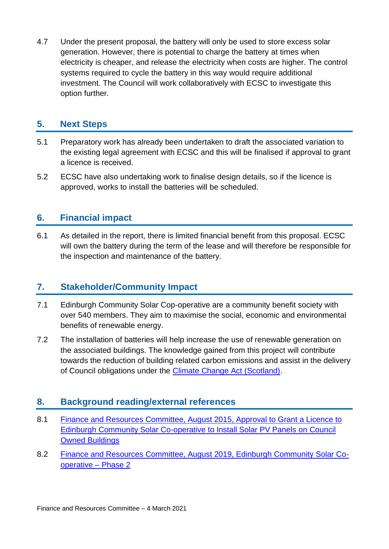4.7 Under the present proposal, the battery will only be used to store excess solar generation. However, there is potential to charge the battery at times when electricity is cheaper, and release the electricity when costs are higher. The control systems required to cycle the battery in this way would require additional investment. The Council will work collaboratively with ECSC to investigate this option further.

#### **5. Next Steps**

- 5.1 Preparatory work has already been undertaken to draft the associated variation to the existing legal agreement with ECSC and this will be finalised if approval to grant a licence is received.
- 5.2 ECSC have also undertaking work to finalise design details, so if the licence is approved, works to install the batteries will be scheduled.

#### **6. Financial impact**

6.1 As detailed in the report, there is limited financial benefit from this proposal. ECSC will own the battery during the term of the lease and will therefore be responsible for the inspection and maintenance of the battery.

#### **7. Stakeholder/Community Impact**

- 7.1 Edinburgh Community Solar Cop-operative are a community benefit society with over 540 members. They aim to maximise the social, economic and environmental benefits of renewable energy.
- 7.2 The installation of batteries will help increase the use of renewable generation on the associated buildings. The knowledge gained from this project will contribute towards the reduction of building related carbon emissions and assist in the delivery of Council obligations under the [Climate Change Act \(Scotland\).](https://www.legislation.gov.uk/asp/2009/12/contents)

#### **8. Background reading/external references**

- 8.1 [Finance and Resources Committee, August 2015, Approval to Grant a Licence to](http://www.edinburgh.gov.uk/download/meetings/id/48013/item_727_-_approval_to_grant_a_licence_to_edinburgh_community_solar_co-operative_to_install_solar_pv_panels_on_council_owned_buildings)  [Edinburgh Community Solar Co-operative to Install Solar PV Panels on Council](http://www.edinburgh.gov.uk/download/meetings/id/48013/item_727_-_approval_to_grant_a_licence_to_edinburgh_community_solar_co-operative_to_install_solar_pv_panels_on_council_owned_buildings)  [Owned Buildings](http://www.edinburgh.gov.uk/download/meetings/id/48013/item_727_-_approval_to_grant_a_licence_to_edinburgh_community_solar_co-operative_to_install_solar_pv_panels_on_council_owned_buildings)
- 8.2 [Finance and Resources Committee, August 2019, Edinburgh Community Solar Co](https://democracy.edinburgh.gov.uk/documents/s4731/8.15%20-%20Edinburgh%20Community%20Solar%20Co-operative%20-%20Phase%202_Approved.pdf)[operative –](https://democracy.edinburgh.gov.uk/documents/s4731/8.15%20-%20Edinburgh%20Community%20Solar%20Co-operative%20-%20Phase%202_Approved.pdf) Phase 2